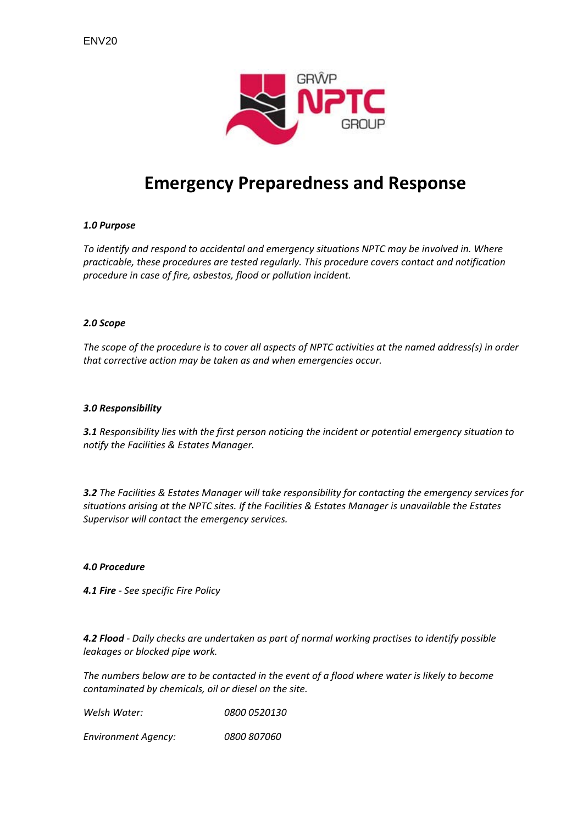

# **Emergency Preparedness and Response**

# *1.0 Purpose*

*To identify and respond to accidental and emergency situations NPTC may be involved in. Where practicable, these procedures are tested regularly. This procedure covers contact and notification procedure in case of fire, asbestos, flood or pollution incident.*

### *2.0 Scope*

The scope of the procedure is to cover all aspects of NPTC activities at the named address(s) in order *that corrective action may be taken as and when emergencies occur.*

## *3.0 Responsibility*

*3.1 Responsibility lies with the first person noticing the incident or potential emergency situation to notify the Facilities & Estates Manager.*

*3.2 The Facilities & Estates Manager will take responsibility for contacting the emergency services for situations arising at the NPTC sites. If the Facilities & Estates Manager is unavailable the Estates Supervisor will contact the emergency services.* 

### *4.0 Procedure*

*4.1 Fire ‐ See specific Fire Policy*

*4.2 Flood ‐ Daily checks are undertaken as part of normal working practises to identify possible leakages or blocked pipe work.* 

The numbers below are to be contacted in the event of a flood where water is likely to become *contaminated by chemicals, oil or diesel on the site.*

*Welsh Water: 0800 0520130*

*Environment Agency: 0800 807060*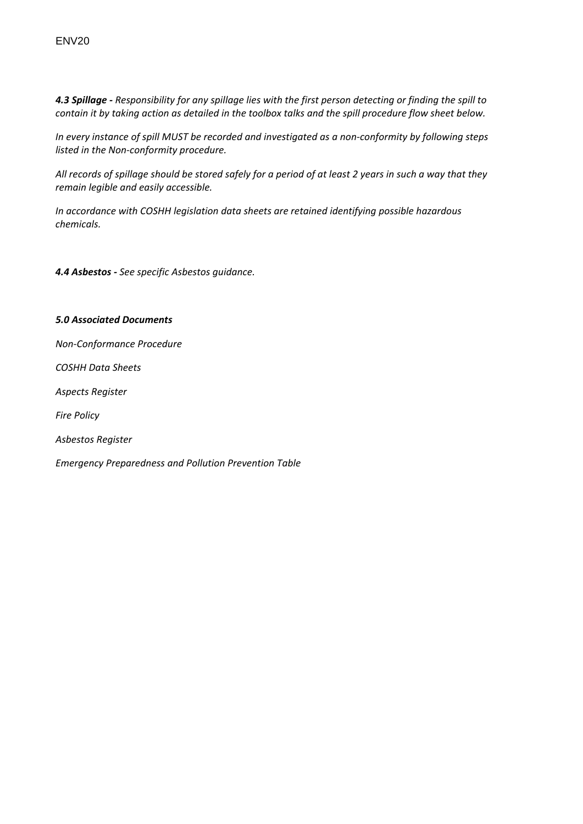4.3 Spillage - Responsibility for any spillage lies with the first person detecting or finding the spill to contain it by taking action as detailed in the toolbox talks and the spill procedure flow sheet below.

In every instance of spill MUST be recorded and investigated as a non-conformity by following steps *listed in the Non‐conformity procedure.*

All records of spillage should be stored safely for a period of at least 2 years in such a way that they *remain legible and easily accessible.*

*In accordance with COSHH legislation data sheets are retained identifying possible hazardous chemicals.*

*4.4 Asbestos ‐ See specific Asbestos guidance.* 

# *5.0 Associated Documents*

*Non‐Conformance Procedure*

*COSHH Data Sheets*

*Aspects Register*

*Fire Policy*

*Asbestos Register*

*Emergency Preparedness and Pollution Prevention Table*